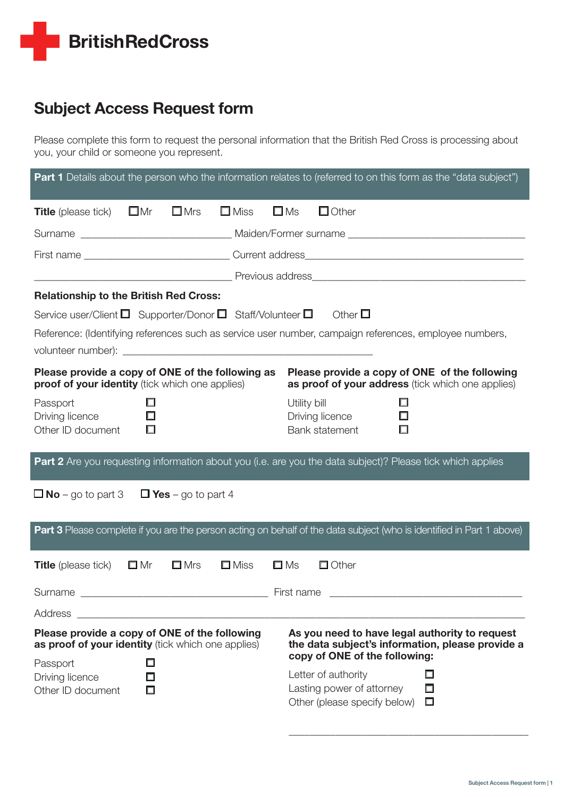

# Subject Access Request form

Please complete this form to request the personal information that the British Red Cross is processing about you, your child or someone you represent.

| <b>Part 1</b> Details about the person who the information relates to (referred to on this form as the "data subject")                                                                                                                     |                                                                                                 |  |
|--------------------------------------------------------------------------------------------------------------------------------------------------------------------------------------------------------------------------------------------|-------------------------------------------------------------------------------------------------|--|
| $\square$ Mrs<br>$\square$ Miss<br>$\square$ Ms<br><b>Title</b> (please tick) $\Box$ Mr                                                                                                                                                    | $\Box$ Other                                                                                    |  |
|                                                                                                                                                                                                                                            |                                                                                                 |  |
|                                                                                                                                                                                                                                            |                                                                                                 |  |
|                                                                                                                                                                                                                                            |                                                                                                 |  |
| <b>Relationship to the British Red Cross:</b>                                                                                                                                                                                              |                                                                                                 |  |
| Service user/Client $\Box$ Supporter/Donor $\Box$ Staff/Volunteer $\Box$ Other $\Box$                                                                                                                                                      |                                                                                                 |  |
| Reference: (Identifying references such as service user number, campaign references, employee numbers,                                                                                                                                     |                                                                                                 |  |
|                                                                                                                                                                                                                                            |                                                                                                 |  |
| Please provide a copy of ONE of the following as<br>Please provide a copy of ONE of the following<br><b>proof of your identity</b> (tick which one applies)<br>as proof of your address (tick which one applies)                           |                                                                                                 |  |
| Passport<br>Utility bill<br>ப<br>$\Box$<br>Driving licence<br>Other ID document<br>$\Box$                                                                                                                                                  | Driving licence<br>ш<br>Bank statement<br>□                                                     |  |
| Part 2 Are you requesting information about you (i.e. are you the data subject)? Please tick which applies                                                                                                                                 |                                                                                                 |  |
| $\Box$ No – go to part 3 $\Box$ Yes – go to part 4                                                                                                                                                                                         |                                                                                                 |  |
| Part 3 Please complete if you are the person acting on behalf of the data subject (who is identified in Part 1 above)                                                                                                                      |                                                                                                 |  |
| $\square$ Mr<br>$\square$ Mrs<br>$\square$ Miss<br>$\square$ Ms<br><b>Title</b> (please tick)                                                                                                                                              | $\Box$ Other                                                                                    |  |
| Surname<br><b>Example 2016</b> Tirst name                                                                                                                                                                                                  |                                                                                                 |  |
| Address                                                                                                                                                                                                                                    |                                                                                                 |  |
| Please provide a copy of ONE of the following<br>As you need to have legal authority to request<br>as proof of your identity (tick which one applies)<br>the data subject's information, please provide a<br>copy of ONE of the following: |                                                                                                 |  |
| Ω<br>Passport<br>Driving licence<br>Other ID document<br>$\Box$                                                                                                                                                                            | Letter of authority<br>□<br>Lasting power of attorney<br>Π<br>Other (please specify below)<br>□ |  |

\_\_\_\_\_\_\_\_\_\_\_\_\_\_\_\_\_\_\_\_\_\_\_\_\_\_\_\_\_\_\_\_\_\_\_\_\_\_\_\_\_\_\_\_\_\_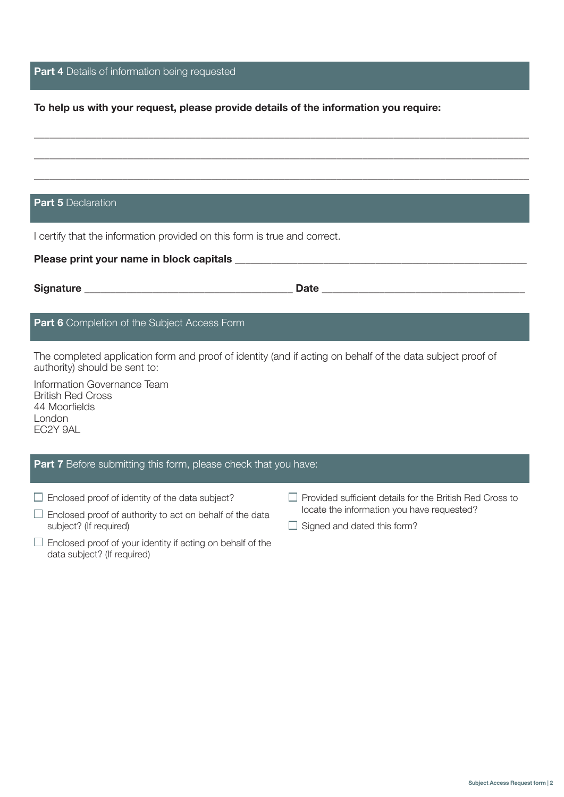# Part 4 Details of information being requested

## To help us with your request, please provide details of the information you require:

\_\_\_\_\_\_\_\_\_\_\_\_\_\_\_\_\_\_\_\_\_\_\_\_\_\_\_\_\_\_\_\_\_\_\_\_\_\_\_\_\_\_\_\_\_\_\_\_\_\_\_\_\_\_\_\_\_\_\_\_\_\_\_\_\_\_\_\_\_\_\_\_\_\_\_\_\_\_\_\_\_\_\_\_\_\_\_\_\_\_\_\_\_\_\_

\_\_\_\_\_\_\_\_\_\_\_\_\_\_\_\_\_\_\_\_\_\_\_\_\_\_\_\_\_\_\_\_\_\_\_\_\_\_\_\_\_\_\_\_\_\_\_\_\_\_\_\_\_\_\_\_\_\_\_\_\_\_\_\_\_\_\_\_\_\_\_\_\_\_\_\_\_\_\_\_\_\_\_\_\_\_\_\_\_\_\_\_\_\_\_

\_\_\_\_\_\_\_\_\_\_\_\_\_\_\_\_\_\_\_\_\_\_\_\_\_\_\_\_\_\_\_\_\_\_\_\_\_\_\_\_\_\_\_\_\_\_\_\_\_\_\_\_\_\_\_\_\_\_\_\_\_\_\_\_\_\_\_\_\_\_\_\_\_\_\_\_\_\_\_\_\_\_\_\_\_\_\_\_\_\_\_\_\_\_\_

## Part 5 Declaration

I certify that the information provided on this form is true and correct.

| Please print your name in block capitals example and the set of the set of the set of the set of the set of the                                                                                                                               |                                                                 |  |
|-----------------------------------------------------------------------------------------------------------------------------------------------------------------------------------------------------------------------------------------------|-----------------------------------------------------------------|--|
|                                                                                                                                                                                                                                               |                                                                 |  |
| <b>Part 6</b> Completion of the Subject Access Form                                                                                                                                                                                           |                                                                 |  |
| The completed application form and proof of identity (and if acting on behalf of the data subject proof of<br>authority) should be sent to:<br>Information Governance Team<br><b>British Red Cross</b><br>44 Moorfields<br>London<br>EC2Y 9AL |                                                                 |  |
| <b>Part 7</b> Before submitting this form, please check that you have:                                                                                                                                                                        |                                                                 |  |
| Enclosed proof of identity of the data subject?                                                                                                                                                                                               | $\Box$ Provided sufficient details for the British Red Cross to |  |

- $\square$  Enclosed proof of authority to act on behalf of the data subject? (If required)
- $\Box$  Enclosed proof of your identity if acting on behalf of the data subject? (If required)
- locate the information you have requested?
- $\Box$  Signed and dated this form?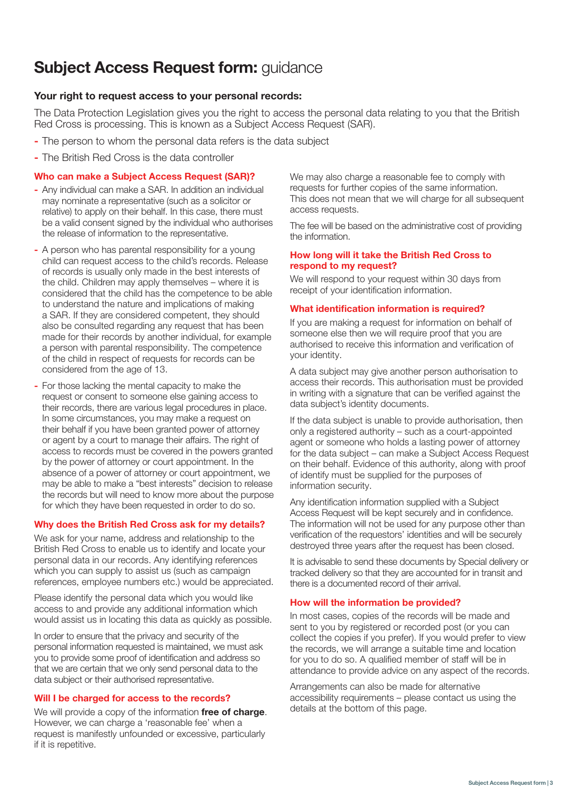# **Subject Access Request form: guidance**

## Your right to request access to your personal records:

The Data Protection Legislation gives you the right to access the personal data relating to you that the British Red Cross is processing. This is known as a Subject Access Request (SAR).

- The person to whom the personal data refers is the data subject
- The British Red Cross is the data controller

### Who can make a Subject Access Request (SAR)?

- Any individual can make a SAR. In addition an individual may nominate a representative (such as a solicitor or relative) to apply on their behalf. In this case, there must be a valid consent signed by the individual who authorises the release of information to the representative.
- A person who has parental responsibility for a young child can request access to the child's records. Release of records is usually only made in the best interests of the child. Children may apply themselves – where it is considered that the child has the competence to be able to understand the nature and implications of making a SAR. If they are considered competent, they should also be consulted regarding any request that has been made for their records by another individual, for example a person with parental responsibility. The competence of the child in respect of requests for records can be considered from the age of 13.
- For those lacking the mental capacity to make the request or consent to someone else gaining access to their records, there are various legal procedures in place. In some circumstances, you may make a request on their behalf if you have been granted power of attorney or agent by a court to manage their affairs. The right of access to records must be covered in the powers granted by the power of attorney or court appointment. In the absence of a power of attorney or court appointment, we may be able to make a "best interests" decision to release the records but will need to know more about the purpose for which they have been requested in order to do so.

## Why does the British Red Cross ask for my details?

We ask for your name, address and relationship to the British Red Cross to enable us to identify and locate your personal data in our records. Any identifying references which you can supply to assist us (such as campaign references, employee numbers etc.) would be appreciated.

Please identify the personal data which you would like access to and provide any additional information which would assist us in locating this data as quickly as possible.

In order to ensure that the privacy and security of the personal information requested is maintained, we must ask you to provide some proof of identification and address so that we are certain that we only send personal data to the data subject or their authorised representative.

### Will I be charged for access to the records?

We will provide a copy of the information free of charge. However, we can charge a 'reasonable fee' when a request is manifestly unfounded or excessive, particularly if it is repetitive.

We may also charge a reasonable fee to comply with requests for further copies of the same information. This does not mean that we will charge for all subsequent access requests.

The fee will be based on the administrative cost of providing the information.

#### How long will it take the British Red Cross to respond to my request?

We will respond to your request within 30 days from receipt of your identification information.

### What identification information is required?

If you are making a request for information on behalf of someone else then we will require proof that you are authorised to receive this information and verification of your identity.

A data subject may give another person authorisation to access their records. This authorisation must be provided in writing with a signature that can be verified against the data subject's identity documents.

If the data subject is unable to provide authorisation, then only a registered authority – such as a court-appointed agent or someone who holds a lasting power of attorney for the data subject – can make a Subject Access Request on their behalf. Evidence of this authority, along with proof of identify must be supplied for the purposes of information security.

Any identification information supplied with a Subject Access Request will be kept securely and in confidence. The information will not be used for any purpose other than verification of the requestors' identities and will be securely destroyed three years after the request has been closed.

It is advisable to send these documents by Special delivery or tracked delivery so that they are accounted for in transit and there is a documented record of their arrival.

### How will the information be provided?

In most cases, copies of the records will be made and sent to you by registered or recorded post (or you can collect the copies if you prefer). If you would prefer to view the records, we will arrange a suitable time and location for you to do so. A qualified member of staff will be in attendance to provide advice on any aspect of the records.

Arrangements can also be made for alternative accessibility requirements – please contact us using the details at the bottom of this page.